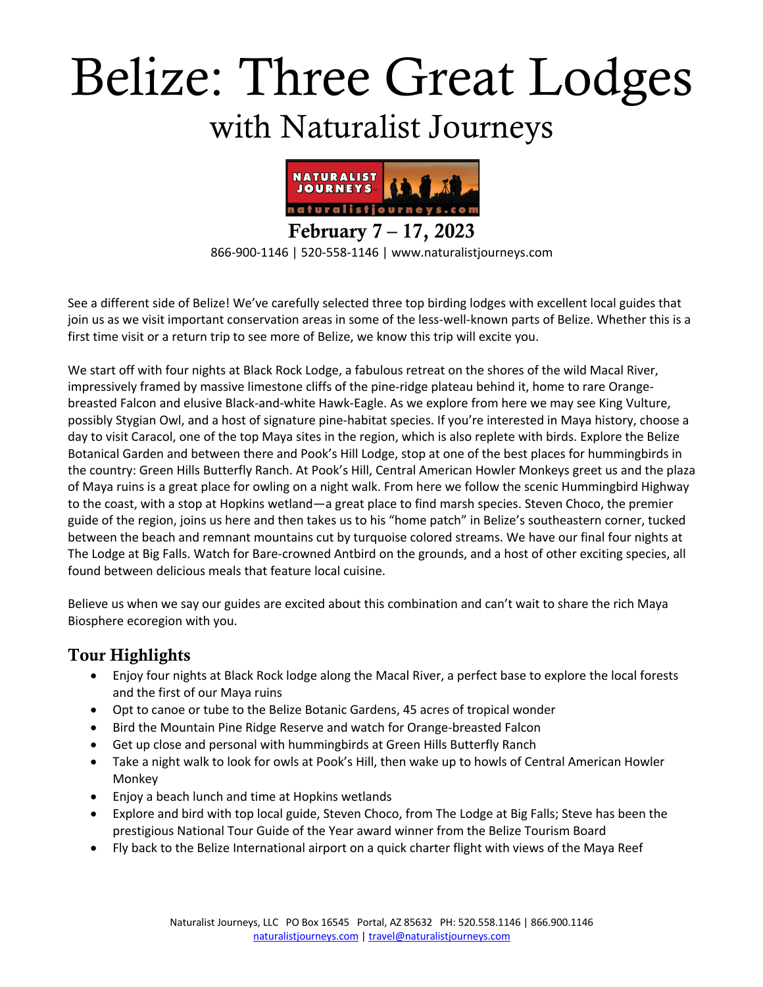# Belize: Three Great Lodges with Naturalist Journeys



866-900-1146 | 520-558-1146 | www.naturalistjourneys.com

See a different side of Belize! We've carefully selected three top birding lodges with excellent local guides that join us as we visit important conservation areas in some of the less-well-known parts of Belize. Whether this is a first time visit or a return trip to see more of Belize, we know this trip will excite you.

We start off with four nights at Black Rock Lodge, a fabulous retreat on the shores of the wild Macal River, impressively framed by massive limestone cliffs of the pine-ridge plateau behind it, home to rare Orangebreasted Falcon and elusive Black-and-white Hawk-Eagle. As we explore from here we may see King Vulture, possibly Stygian Owl, and a host of signature pine-habitat species. If you're interested in Maya history, choose a day to visit Caracol, one of the top Maya sites in the region, which is also replete with birds. Explore the Belize Botanical Garden and between there and Pook's Hill Lodge, stop at one of the best places for hummingbirds in the country: Green Hills Butterfly Ranch. At Pook's Hill, Central American Howler Monkeys greet us and the plaza of Maya ruins is a great place for owling on a night walk. From here we follow the scenic Hummingbird Highway to the coast, with a stop at Hopkins wetland—a great place to find marsh species. Steven Choco, the premier guide of the region, joins us here and then takes us to his "home patch" in Belize's southeastern corner, tucked between the beach and remnant mountains cut by turquoise colored streams. We have our final four nights at The Lodge at Big Falls. Watch for Bare-crowned Antbird on the grounds, and a host of other exciting species, all found between delicious meals that feature local cuisine.

Believe us when we say our guides are excited about this combination and can't wait to share the rich Maya Biosphere ecoregion with you.

#### Tour Highlights

- Enjoy four nights at Black Rock lodge along the Macal River, a perfect base to explore the local forests and the first of our Maya ruins
- Opt to canoe or tube to the Belize Botanic Gardens, 45 acres of tropical wonder
- Bird the Mountain Pine Ridge Reserve and watch for Orange-breasted Falcon
- Get up close and personal with hummingbirds at Green Hills Butterfly Ranch
- Take a night walk to look for owls at Pook's Hill, then wake up to howls of Central American Howler Monkey
- Enjoy a beach lunch and time at Hopkins wetlands
- Explore and bird with top local guide, Steven Choco, from The Lodge at Big Falls; Steve has been the prestigious National Tour Guide of the Year award winner from the Belize Tourism Board
- Fly back to the Belize International airport on a quick charter flight with views of the Maya Reef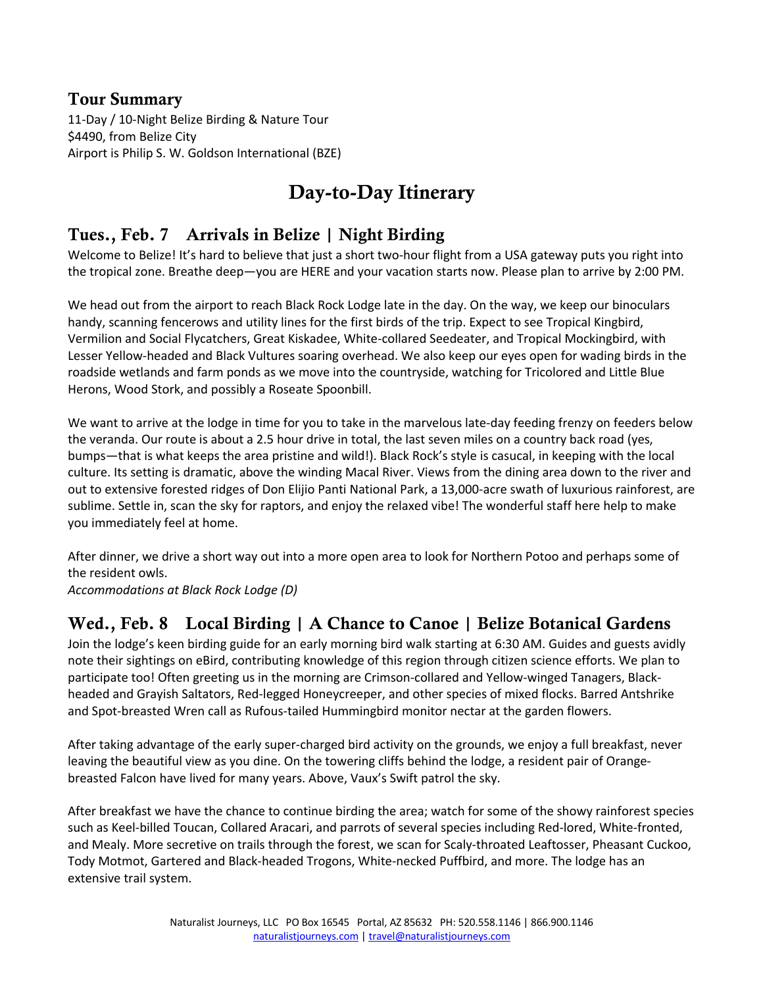#### Tour Summary

11-Day / 10-Night Belize Birding & Nature Tour \$4490, from Belize City Airport is Philip S. W. Goldson International (BZE)

# Day-to-Day Itinerary

#### Tues., Feb. 7 Arrivals in Belize | Night Birding

Welcome to Belize! It's hard to believe that just a short two-hour flight from a USA gateway puts you right into the tropical zone. Breathe deep—you are HERE and your vacation starts now. Please plan to arrive by 2:00 PM.

We head out from the airport to reach Black Rock Lodge late in the day. On the way, we keep our binoculars handy, scanning fencerows and utility lines for the first birds of the trip. Expect to see Tropical Kingbird, Vermilion and Social Flycatchers, Great Kiskadee, White-collared Seedeater, and Tropical Mockingbird, with Lesser Yellow-headed and Black Vultures soaring overhead. We also keep our eyes open for wading birds in the roadside wetlands and farm ponds as we move into the countryside, watching for Tricolored and Little Blue Herons, Wood Stork, and possibly a Roseate Spoonbill.

We want to arrive at the lodge in time for you to take in the marvelous late-day feeding frenzy on feeders below the veranda. Our route is about a 2.5 hour drive in total, the last seven miles on a country back road (yes, bumps—that is what keeps the area pristine and wild!). Black Rock's style is casucal, in keeping with the local culture. Its setting is dramatic, above the winding Macal River. Views from the dining area down to the river and out to extensive forested ridges of Don Elijio Panti National Park, a 13,000-acre swath of luxurious rainforest, are sublime. Settle in, scan the sky for raptors, and enjoy the relaxed vibe! The wonderful staff here help to make you immediately feel at home.

After dinner, we drive a short way out into a more open area to look for Northern Potoo and perhaps some of the resident owls.

*Accommodations at Black Rock Lodge (D)*

## Wed., Feb. 8 Local Birding | A Chance to Canoe | Belize Botanical Gardens

Join the lodge's keen birding guide for an early morning bird walk starting at 6:30 AM. Guides and guests avidly note their sightings on eBird, contributing knowledge of this region through citizen science efforts. We plan to participate too! Often greeting us in the morning are Crimson-collared and Yellow-winged Tanagers, Blackheaded and Grayish Saltators, Red-legged Honeycreeper, and other species of mixed flocks. Barred Antshrike and Spot-breasted Wren call as Rufous-tailed Hummingbird monitor nectar at the garden flowers.

After taking advantage of the early super-charged bird activity on the grounds, we enjoy a full breakfast, never leaving the beautiful view as you dine. On the towering cliffs behind the lodge, a resident pair of Orangebreasted Falcon have lived for many years. Above, Vaux's Swift patrol the sky.

After breakfast we have the chance to continue birding the area; watch for some of the showy rainforest species such as Keel-billed Toucan, Collared Aracari, and parrots of several species including Red-lored, White-fronted, and Mealy. More secretive on trails through the forest, we scan for Scaly-throated Leaftosser, Pheasant Cuckoo, Tody Motmot, Gartered and Black-headed Trogons, White-necked Puffbird, and more. The lodge has an extensive trail system.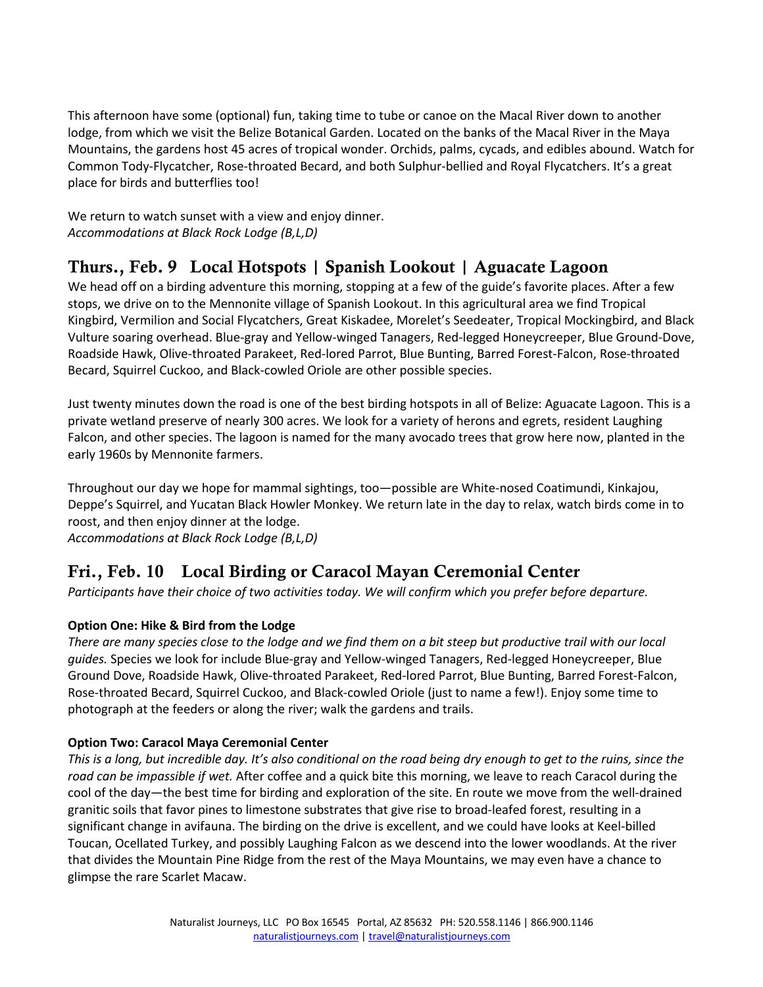This afternoon have some (optional) fun, taking time to tube or canoe on the Macal River down to another lodge, from which we visit the Belize Botanical Garden. Located on the banks of the Macal River in the Maya Mountains, the gardens host 45 acres of tropical wonder. Orchids, palms, cycads, and edibles abound. Watch for Common Tody-Flycatcher, Rose-throated Becard, and both Sulphur-bellied and Royal Flycatchers. It's a great place for birds and butterflies too!

We return to watch sunset with a view and enjoy dinner. *Accommodations at Black Rock Lodge (B,L,D)*

#### Thurs., Feb. 9 Local Hotspots | Spanish Lookout | Aguacate Lagoon

We head off on a birding adventure this morning, stopping at a few of the guide's favorite places. After a few stops, we drive on to the Mennonite village of Spanish Lookout. In this agricultural area we find Tropical Kingbird, Vermilion and Social Flycatchers, Great Kiskadee, Morelet's Seedeater, Tropical Mockingbird, and Black Vulture soaring overhead. Blue-gray and Yellow-winged Tanagers, Red-legged Honeycreeper, Blue Ground-Dove, Roadside Hawk, Olive-throated Parakeet, Red-lored Parrot, Blue Bunting, Barred Forest-Falcon, Rose-throated Becard, Squirrel Cuckoo, and Black-cowled Oriole are other possible species.

Just twenty minutes down the road is one of the best birding hotspots in all of Belize: Aguacate Lagoon. This is a private wetland preserve of nearly 300 acres. We look for a variety of herons and egrets, resident Laughing Falcon, and other species. The lagoon is named for the many avocado trees that grow here now, planted in the early 1960s by Mennonite farmers.

Throughout our day we hope for mammal sightings, too—possible are White-nosed Coatimundi, Kinkajou, Deppe's Squirrel, and Yucatan Black Howler Monkey. We return late in the day to relax, watch birds come in to roost, and then enjoy dinner at the lodge. *Accommodations at Black Rock Lodge (B,L,D)*

### Fri., Feb. 10 Local Birding or Caracol Mayan Ceremonial Center

*Participants have their choice of two activities today. We will confirm which you prefer before departure.*

#### **Option One: Hike & Bird from the Lodge**

*There are many species close to the lodge and we find them on a bit steep but productive trail with our local guides.* Species we look for include Blue-gray and Yellow-winged Tanagers, Red-legged Honeycreeper, Blue Ground Dove, Roadside Hawk, Olive-throated Parakeet, Red-lored Parrot, Blue Bunting, Barred Forest-Falcon, Rose-throated Becard, Squirrel Cuckoo, and Black-cowled Oriole (just to name a few!). Enjoy some time to photograph at the feeders or along the river; walk the gardens and trails.

#### **Option Two: Caracol Maya Ceremonial Center**

*This is a long, but incredible day. It's also conditional on the road being dry enough to get to the ruins, since the road can be impassible if wet.* After coffee and a quick bite this morning, we leave to reach Caracol during the cool of the day—the best time for birding and exploration of the site. En route we move from the well-drained granitic soils that favor pines to limestone substrates that give rise to broad-leafed forest, resulting in a significant change in avifauna. The birding on the drive is excellent, and we could have looks at Keel-billed Toucan, Ocellated Turkey, and possibly Laughing Falcon as we descend into the lower woodlands. At the river that divides the Mountain Pine Ridge from the rest of the Maya Mountains, we may even have a chance to glimpse the rare Scarlet Macaw.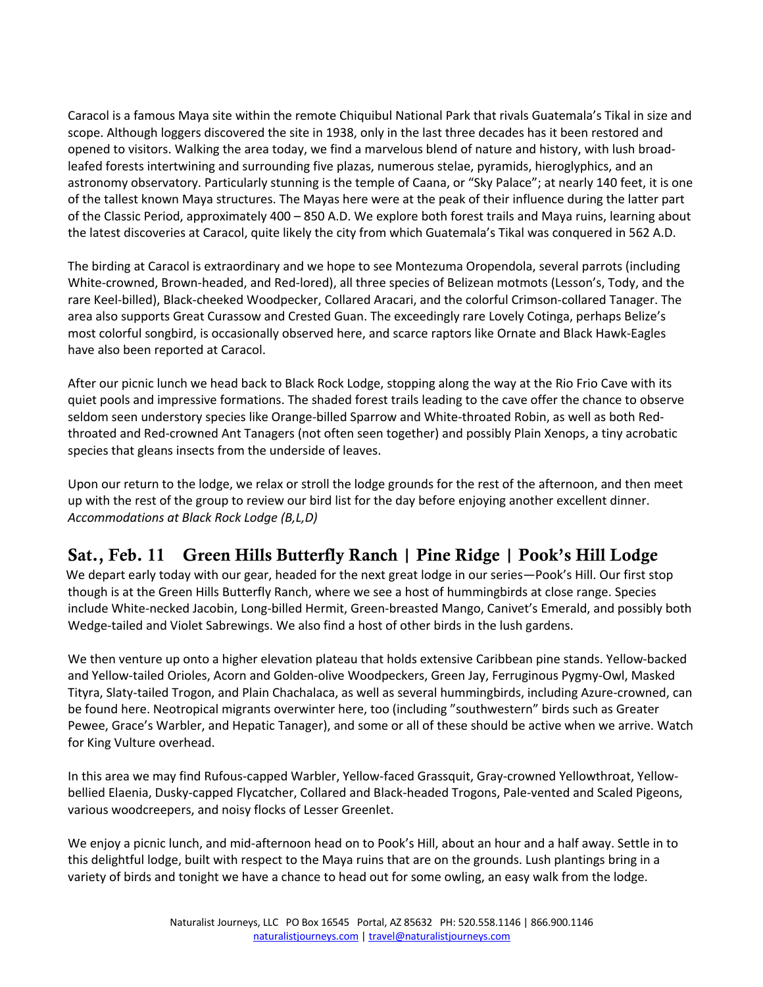Caracol is a famous Maya site within the remote Chiquibul National Park that rivals Guatemala's Tikal in size and scope. Although loggers discovered the site in 1938, only in the last three decades has it been restored and opened to visitors. Walking the area today, we find a marvelous blend of nature and history, with lush broadleafed forests intertwining and surrounding five plazas, numerous stelae, pyramids, hieroglyphics, and an astronomy observatory. Particularly stunning is the temple of Caana, or "Sky Palace"; at nearly 140 feet, it is one of the tallest known Maya structures. The Mayas here were at the peak of their influence during the latter part of the Classic Period, approximately 400 – 850 A.D. We explore both forest trails and Maya ruins, learning about the latest discoveries at Caracol, quite likely the city from which Guatemala's Tikal was conquered in 562 A.D.

The birding at Caracol is extraordinary and we hope to see Montezuma Oropendola, several parrots (including White-crowned, Brown-headed, and Red-lored), all three species of Belizean motmots (Lesson's, Tody, and the rare Keel-billed), Black-cheeked Woodpecker, Collared Aracari, and the colorful Crimson-collared Tanager. The area also supports Great Curassow and Crested Guan. The exceedingly rare Lovely Cotinga, perhaps Belize's most colorful songbird, is occasionally observed here, and scarce raptors like Ornate and Black Hawk-Eagles have also been reported at Caracol.

After our picnic lunch we head back to Black Rock Lodge, stopping along the way at the Rio Frio Cave with its quiet pools and impressive formations. The shaded forest trails leading to the cave offer the chance to observe seldom seen understory species like Orange-billed Sparrow and White-throated Robin, as well as both Redthroated and Red-crowned Ant Tanagers (not often seen together) and possibly Plain Xenops, a tiny acrobatic species that gleans insects from the underside of leaves.

Upon our return to the lodge, we relax or stroll the lodge grounds for the rest of the afternoon, and then meet up with the rest of the group to review our bird list for the day before enjoying another excellent dinner. *Accommodations at Black Rock Lodge (B,L,D)*

## Sat., Feb. 11 Green Hills Butterfly Ranch | Pine Ridge | Pook's Hill Lodge

 We depart early today with our gear, headed for the next great lodge in our series—Pook's Hill. Our first stop though is at the Green Hills Butterfly Ranch, where we see a host of hummingbirds at close range. Species include White-necked Jacobin, Long-billed Hermit, Green-breasted Mango, Canivet's Emerald, and possibly both Wedge-tailed and Violet Sabrewings. We also find a host of other birds in the lush gardens.

We then venture up onto a higher elevation plateau that holds extensive Caribbean pine stands. Yellow-backed and Yellow-tailed Orioles, Acorn and Golden-olive Woodpeckers, Green Jay, Ferruginous Pygmy-Owl, Masked Tityra, Slaty-tailed Trogon, and Plain Chachalaca, as well as several hummingbirds, including Azure-crowned, can be found here. Neotropical migrants overwinter here, too (including "southwestern" birds such as Greater Pewee, Grace's Warbler, and Hepatic Tanager), and some or all of these should be active when we arrive. Watch for King Vulture overhead.

In this area we may find Rufous-capped Warbler, Yellow-faced Grassquit, Gray-crowned Yellowthroat, Yellowbellied Elaenia, Dusky-capped Flycatcher, Collared and Black-headed Trogons, Pale-vented and Scaled Pigeons, various woodcreepers, and noisy flocks of Lesser Greenlet.

We enjoy a picnic lunch, and mid-afternoon head on to Pook's Hill, about an hour and a half away. Settle in to this delightful lodge, built with respect to the Maya ruins that are on the grounds. Lush plantings bring in a variety of birds and tonight we have a chance to head out for some owling, an easy walk from the lodge.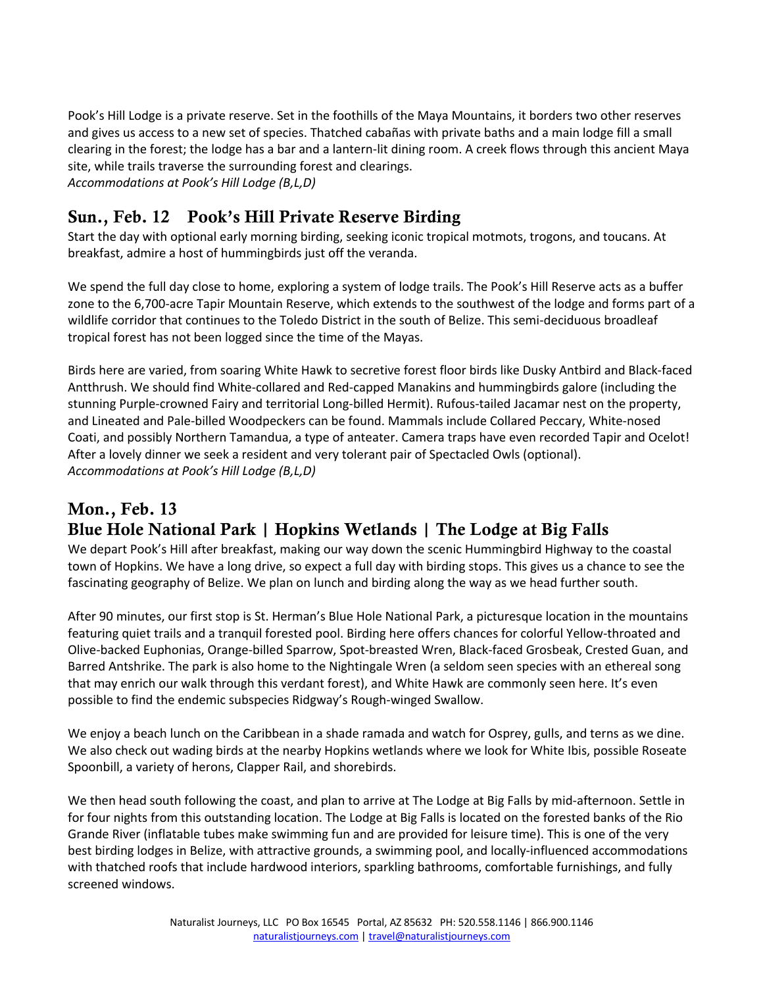Pook's Hill Lodge is a private reserve. Set in the foothills of the Maya Mountains, it borders two other reserves and gives us access to a new set of species. Thatched cabañas with private baths and a main lodge fill a small clearing in the forest; the lodge has a bar and a lantern-lit dining room. A creek flows through this ancient Maya site, while trails traverse the surrounding forest and clearings. *Accommodations at Pook's Hill Lodge (B,L,D)*

#### Sun., Feb. 12 Pook's Hill Private Reserve Birding

Start the day with optional early morning birding, seeking iconic tropical motmots, trogons, and toucans. At breakfast, admire a host of hummingbirds just off the veranda.

We spend the full day close to home, exploring a system of lodge trails. The Pook's Hill Reserve acts as a buffer zone to the 6,700-acre Tapir Mountain Reserve, which extends to the southwest of the lodge and forms part of a wildlife corridor that continues to the Toledo District in the south of Belize. This semi-deciduous broadleaf tropical forest has not been logged since the time of the Mayas.

Birds here are varied, from soaring White Hawk to secretive forest floor birds like Dusky Antbird and Black-faced Antthrush. We should find White-collared and Red-capped Manakins and hummingbirds galore (including the stunning Purple-crowned Fairy and territorial Long-billed Hermit). Rufous-tailed Jacamar nest on the property, and Lineated and Pale-billed Woodpeckers can be found. Mammals include Collared Peccary, White-nosed Coati, and possibly Northern Tamandua, a type of anteater. Camera traps have even recorded Tapir and Ocelot! After a lovely dinner we seek a resident and very tolerant pair of Spectacled Owls (optional). *Accommodations at Pook's Hill Lodge (B,L,D)*

#### Mon., Feb. 13 Blue Hole National Park | Hopkins Wetlands | The Lodge at Big Falls

We depart Pook's Hill after breakfast, making our way down the scenic Hummingbird Highway to the coastal town of Hopkins. We have a long drive, so expect a full day with birding stops. This gives us a chance to see the fascinating geography of Belize. We plan on lunch and birding along the way as we head further south.

After 90 minutes, our first stop is St. Herman's Blue Hole National Park, a picturesque location in the mountains featuring quiet trails and a tranquil forested pool. Birding here offers chances for colorful Yellow-throated and Olive-backed Euphonias, Orange-billed Sparrow, Spot-breasted Wren, Black-faced Grosbeak, Crested Guan, and Barred Antshrike. The park is also home to the Nightingale Wren (a seldom seen species with an ethereal song that may enrich our walk through this verdant forest), and White Hawk are commonly seen here. It's even possible to find the endemic subspecies Ridgway's Rough-winged Swallow.

We enjoy a beach lunch on the Caribbean in a shade ramada and watch for Osprey, gulls, and terns as we dine. We also check out wading birds at the nearby Hopkins wetlands where we look for White Ibis, possible Roseate Spoonbill, a variety of herons, Clapper Rail, and shorebirds.

We then head south following the coast, and plan to arrive at The Lodge at Big Falls by mid-afternoon. Settle in for four nights from this outstanding location. The Lodge at Big Falls is located on the forested banks of the Rio Grande River (inflatable tubes make swimming fun and are provided for leisure time). This is one of the very best birding lodges in Belize, with attractive grounds, a swimming pool, and locally-influenced accommodations with thatched roofs that include hardwood interiors, sparkling bathrooms, comfortable furnishings, and fully screened windows.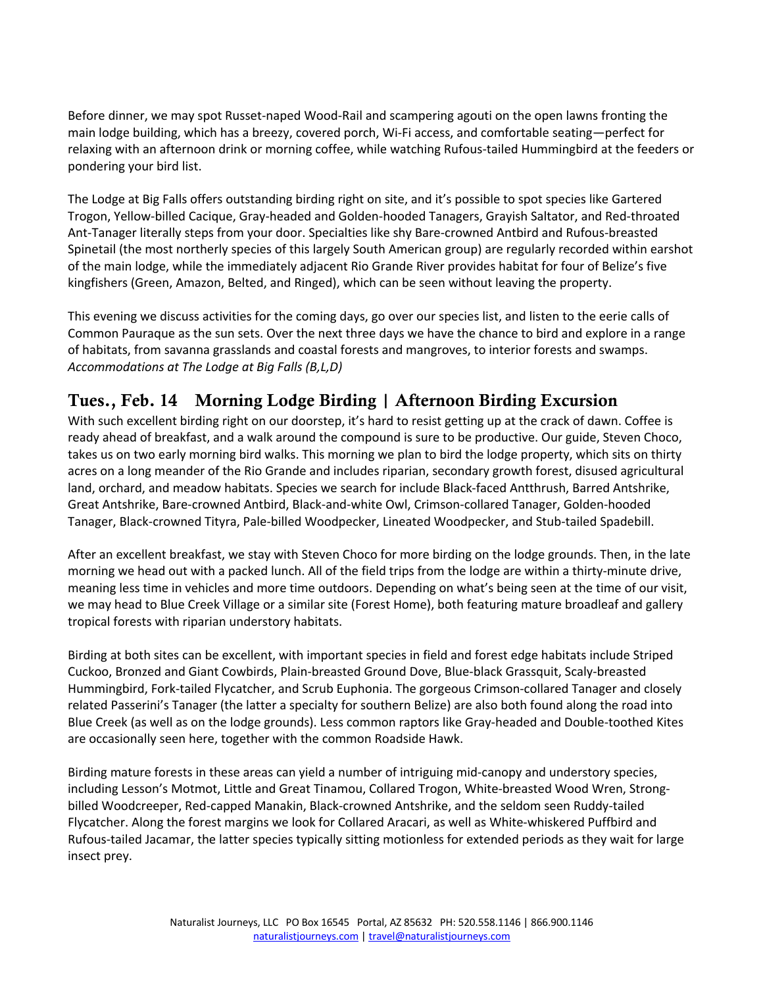Before dinner, we may spot Russet-naped Wood-Rail and scampering agouti on the open lawns fronting the main lodge building, which has a breezy, covered porch, Wi-Fi access, and comfortable seating—perfect for relaxing with an afternoon drink or morning coffee, while watching Rufous-tailed Hummingbird at the feeders or pondering your bird list.

The Lodge at Big Falls offers outstanding birding right on site, and it's possible to spot species like Gartered Trogon, Yellow-billed Cacique, Gray-headed and Golden-hooded Tanagers, Grayish Saltator, and Red-throated Ant-Tanager literally steps from your door. Specialties like shy Bare-crowned Antbird and Rufous-breasted Spinetail (the most northerly species of this largely South American group) are regularly recorded within earshot of the main lodge, while the immediately adjacent Rio Grande River provides habitat for four of Belize's five kingfishers (Green, Amazon, Belted, and Ringed), which can be seen without leaving the property.

This evening we discuss activities for the coming days, go over our species list, and listen to the eerie calls of Common Pauraque as the sun sets. Over the next three days we have the chance to bird and explore in a range of habitats, from savanna grasslands and coastal forests and mangroves, to interior forests and swamps. *Accommodations at The Lodge at Big Falls (B,L,D)*

#### Tues., Feb. 14 Morning Lodge Birding | Afternoon Birding Excursion

With such excellent birding right on our doorstep, it's hard to resist getting up at the crack of dawn. Coffee is ready ahead of breakfast, and a walk around the compound is sure to be productive. Our guide, Steven Choco, takes us on two early morning bird walks. This morning we plan to bird the lodge property, which sits on thirty acres on a long meander of the Rio Grande and includes riparian, secondary growth forest, disused agricultural land, orchard, and meadow habitats. Species we search for include Black-faced Antthrush, Barred Antshrike, Great Antshrike, Bare-crowned Antbird, Black-and-white Owl, Crimson-collared Tanager, Golden-hooded Tanager, Black-crowned Tityra, Pale-billed Woodpecker, Lineated Woodpecker, and Stub-tailed Spadebill.

After an excellent breakfast, we stay with Steven Choco for more birding on the lodge grounds. Then, in the late morning we head out with a packed lunch. All of the field trips from the lodge are within a thirty-minute drive, meaning less time in vehicles and more time outdoors. Depending on what's being seen at the time of our visit, we may head to Blue Creek Village or a similar site (Forest Home), both featuring mature broadleaf and gallery tropical forests with riparian understory habitats.

Birding at both sites can be excellent, with important species in field and forest edge habitats include Striped Cuckoo, Bronzed and Giant Cowbirds, Plain-breasted Ground Dove, Blue-black Grassquit, Scaly-breasted Hummingbird, Fork-tailed Flycatcher, and Scrub Euphonia. The gorgeous Crimson-collared Tanager and closely related Passerini's Tanager (the latter a specialty for southern Belize) are also both found along the road into Blue Creek (as well as on the lodge grounds). Less common raptors like Gray-headed and Double-toothed Kites are occasionally seen here, together with the common Roadside Hawk.

Birding mature forests in these areas can yield a number of intriguing mid-canopy and understory species, including Lesson's Motmot, Little and Great Tinamou, Collared Trogon, White-breasted Wood Wren, Strongbilled Woodcreeper, Red-capped Manakin, Black-crowned Antshrike, and the seldom seen Ruddy-tailed Flycatcher. Along the forest margins we look for Collared Aracari, as well as White-whiskered Puffbird and Rufous-tailed Jacamar, the latter species typically sitting motionless for extended periods as they wait for large insect prey.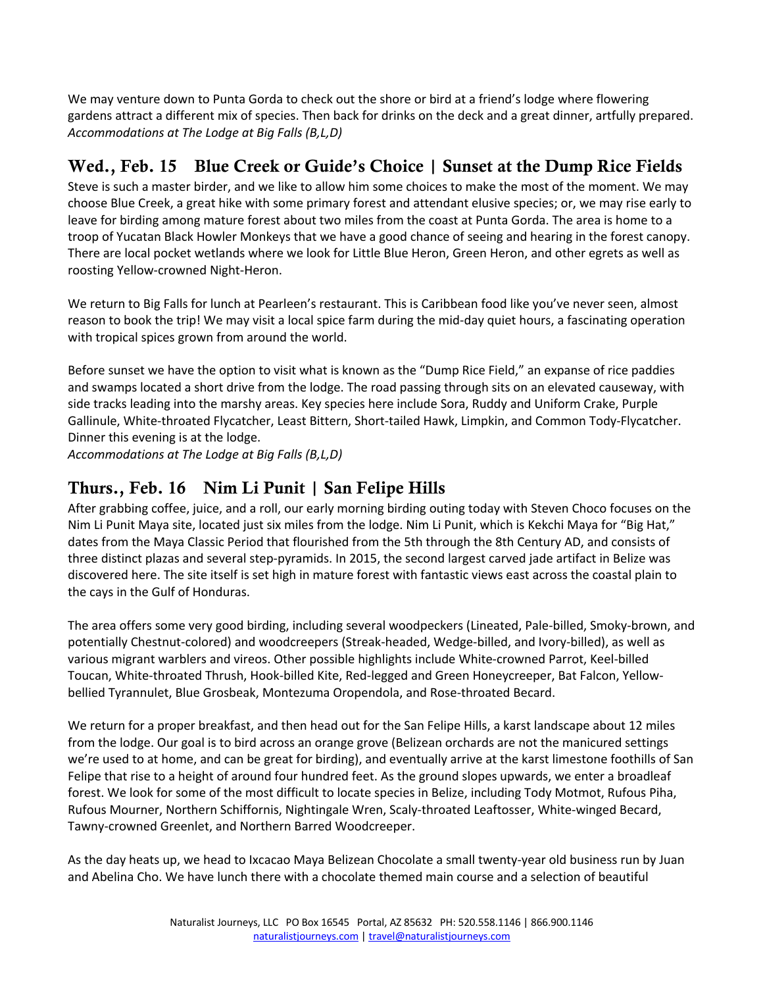We may venture down to Punta Gorda to check out the shore or bird at a friend's lodge where flowering gardens attract a different mix of species. Then back for drinks on the deck and a great dinner, artfully prepared. *Accommodations at The Lodge at Big Falls (B,L,D)*

#### Wed., Feb. 15 Blue Creek or Guide's Choice | Sunset at the Dump Rice Fields

Steve is such a master birder, and we like to allow him some choices to make the most of the moment. We may choose Blue Creek, a great hike with some primary forest and attendant elusive species; or, we may rise early to leave for birding among mature forest about two miles from the coast at Punta Gorda. The area is home to a troop of Yucatan Black Howler Monkeys that we have a good chance of seeing and hearing in the forest canopy. There are local pocket wetlands where we look for Little Blue Heron, Green Heron, and other egrets as well as roosting Yellow-crowned Night-Heron.

We return to Big Falls for lunch at Pearleen's restaurant. This is Caribbean food like you've never seen, almost reason to book the trip! We may visit a local spice farm during the mid-day quiet hours, a fascinating operation with tropical spices grown from around the world.

Before sunset we have the option to visit what is known as the "Dump Rice Field," an expanse of rice paddies and swamps located a short drive from the lodge. The road passing through sits on an elevated causeway, with side tracks leading into the marshy areas. Key species here include Sora, Ruddy and Uniform Crake, Purple Gallinule, White-throated Flycatcher, Least Bittern, Short-tailed Hawk, Limpkin, and Common Tody-Flycatcher. Dinner this evening is at the lodge.

*Accommodations at The Lodge at Big Falls (B,L,D)*

#### Thurs., Feb. 16 Nim Li Punit | San Felipe Hills

After grabbing coffee, juice, and a roll, our early morning birding outing today with Steven Choco focuses on the Nim Li Punit Maya site, located just six miles from the lodge. Nim Li Punit, which is Kekchi Maya for "Big Hat," dates from the Maya Classic Period that flourished from the 5th through the 8th Century AD, and consists of three distinct plazas and several step-pyramids. In 2015, the second largest carved jade artifact in Belize was discovered here. The site itself is set high in mature forest with fantastic views east across the coastal plain to the cays in the Gulf of Honduras.

The area offers some very good birding, including several woodpeckers (Lineated, Pale-billed, Smoky-brown, and potentially Chestnut-colored) and woodcreepers (Streak-headed, Wedge-billed, and Ivory-billed), as well as various migrant warblers and vireos. Other possible highlights include White-crowned Parrot, Keel-billed Toucan, White-throated Thrush, Hook-billed Kite, Red-legged and Green Honeycreeper, Bat Falcon, Yellowbellied Tyrannulet, Blue Grosbeak, Montezuma Oropendola, and Rose-throated Becard.

We return for a proper breakfast, and then head out for the San Felipe Hills, a karst landscape about 12 miles from the lodge. Our goal is to bird across an orange grove (Belizean orchards are not the manicured settings we're used to at home, and can be great for birding), and eventually arrive at the karst limestone foothills of San Felipe that rise to a height of around four hundred feet. As the ground slopes upwards, we enter a broadleaf forest. We look for some of the most difficult to locate species in Belize, including Tody Motmot, Rufous Piha, Rufous Mourner, Northern Schiffornis, Nightingale Wren, Scaly-throated Leaftosser, White-winged Becard, Tawny-crowned Greenlet, and Northern Barred Woodcreeper.

As the day heats up, we head to Ixcacao Maya Belizean Chocolate a small twenty-year old business run by Juan and Abelina Cho. We have lunch there with a chocolate themed main course and a selection of beautiful